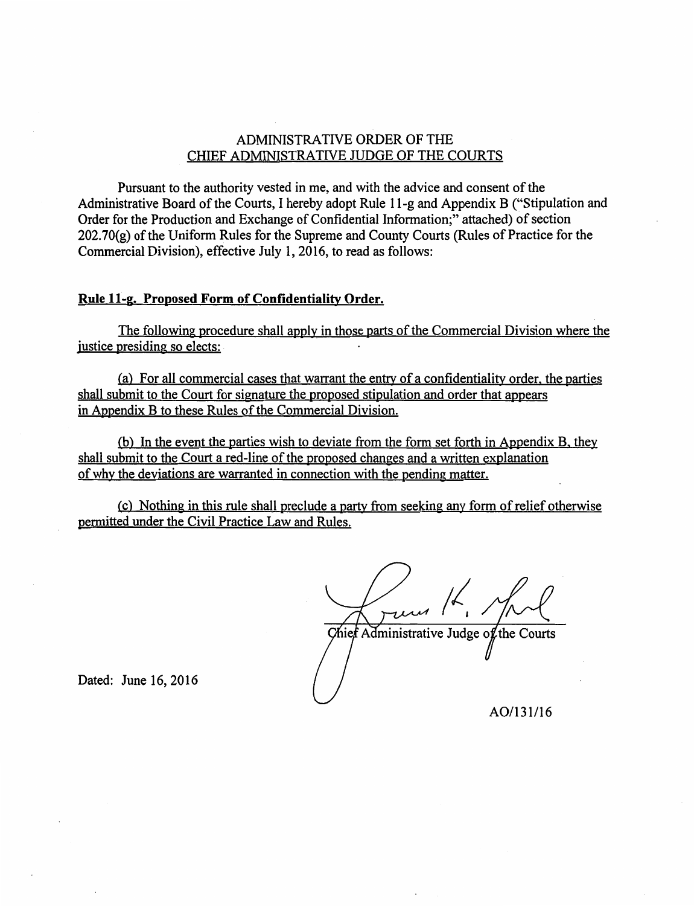### ADMINISTRATIVE ORDER OF THE CHIEF ADMINISTRATIVE JUDGE OF THE COURTS

Pursuant to the authority vested in me, and with the advice and consent of the Administrative Board of the Courts, I hereby adopt Rule 11-g and Appendix B ("Stipulation and Order for the Production and Exchange of Confidential Information;" attached) of section  $202.70(e)$  of the Uniform Rules for the Supreme and County Courts (Rules of Practice for the Commercial Division), effective July 1, 2016, to read as follows:

## **Rule 11-g. Proposed Form of Confidentiality Order.**

The following procedure shall apply in those parts of the Commercial Division where the justice presiding so elects:

(a) For all commercial cases that warrant the entry of a confidentiality order, the parties shall submit to the Court for signature the proposed stipulation and order that appears in Appendix B to these Rules of the Commercial Division.

(b) In the event the parties wish to deviate from the form set forth in Appendix B, they shall submit to the Court a red-line of the proposed changes and a written explanation of why the deviations are warranted in connection with the pending matter.

(c) Nothing in this rule shall preclude a party from seeking any form of relief otherwise permitted under the Civil Practice Law and Rules.

Chief Administrative Judge of the Courts

Dated: June 16, 2016

A0/131/16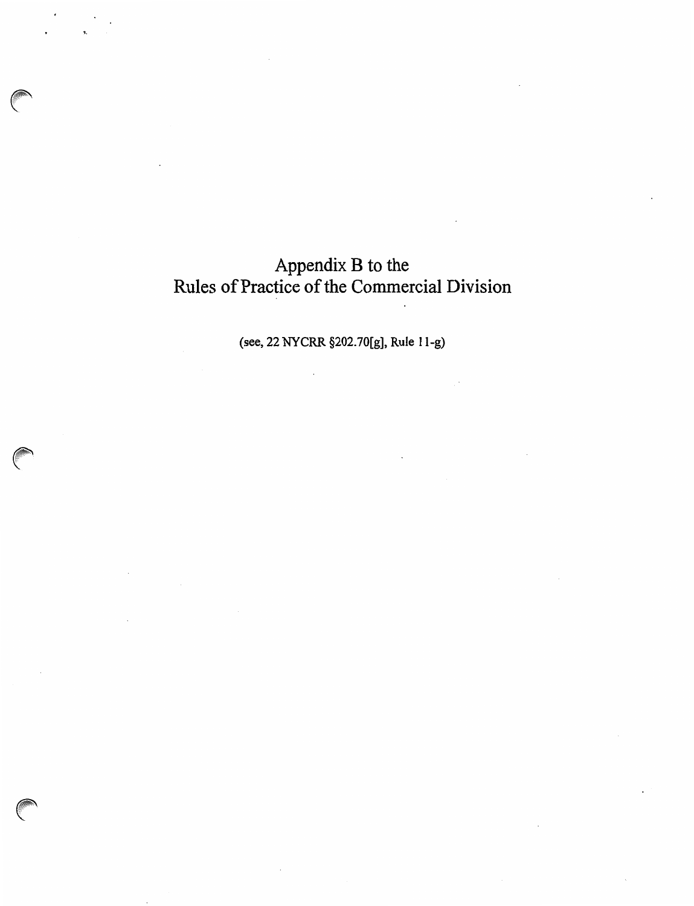# Appendix B to the Rules of Practice of the Commercial Division

(see, 22 NYCRR §202.70[g], Rule 11-g)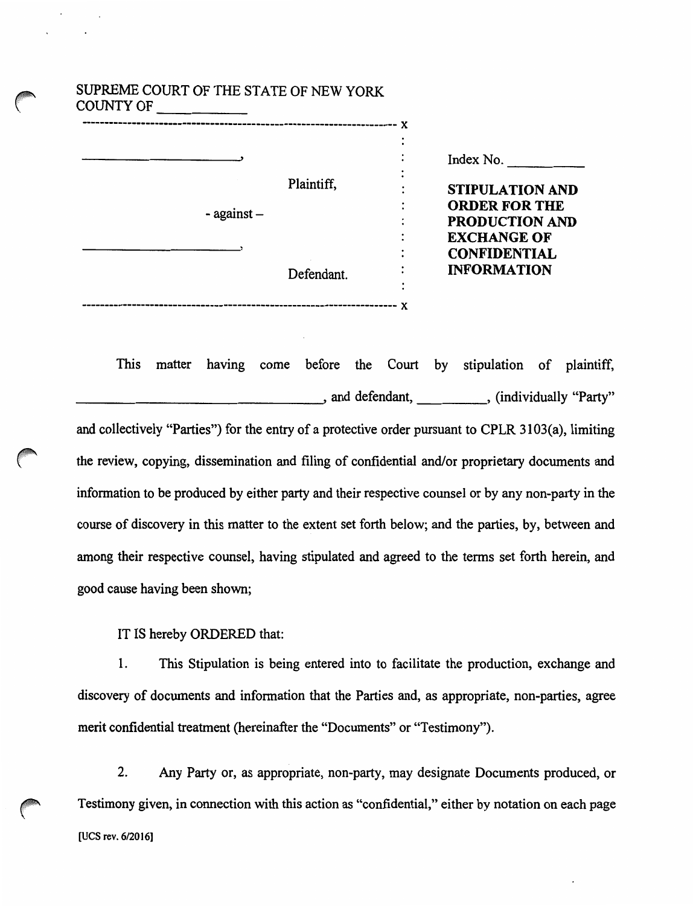| SUPREME COURT OF THE STATE OF NEW YORK<br><b>COUNTY OF</b> |            |                                                |
|------------------------------------------------------------|------------|------------------------------------------------|
|                                                            |            | Index No.                                      |
| $-$ against $-$                                            | Plaintiff, | <b>STIPULATION AND</b><br><b>ORDER FOR THE</b> |
|                                                            |            | <b>PRODUCTION AND</b><br><b>EXCHANGE OF</b>    |
|                                                            |            | <b>CONFIDENTIAL</b><br><b>INFORMATION</b>      |
|                                                            | Defendant. |                                                |
|                                                            |            |                                                |

SUPREME COURT OF THE STATE OF NEW YORK

This matter having come before the Court by stipulation of plaintiff, defendant, and defendant, etc. (individually "Party" and collectively "Parties") for the entry of a protective order pursuant to CPLR 3103(a), limiting the review, copying, dissemination and filing of confidential and/or proprietary documents and information to be produced by either party and their respective counsel or by any non-party in the course of discovery in this matter to the extent set forth below; and the parties, by, between and among their respective counsel, having stipulated and agreed to the terms set forth herein, and good cause having been shown;

IT IS hereby ORDERED that:

1. This Stipulation is being entered into to facilitate the production, exchange and discovery of documents and information that the Parties and, as appropriate, non-parties, agree merit confidential treatment (hereinafter the "Documents" or "Testimony").

2. Any Party or, as appropriate, non-party, may designate Documents produced, or Testimony given, in connection with this action as "confidential," either by notation on each page [UCS rev. 6/2016]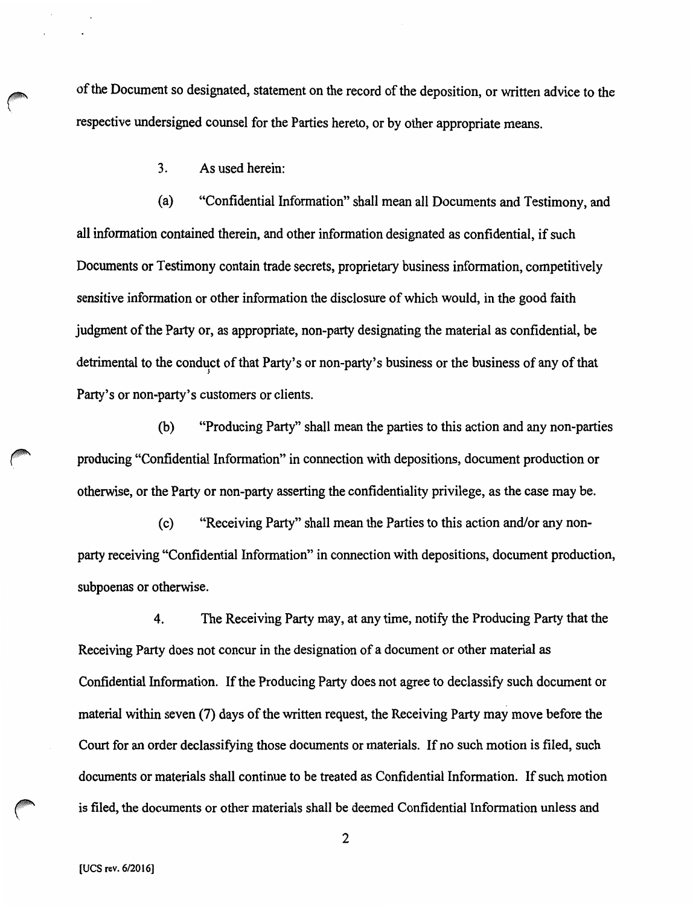of the Document so designated, statement on the record of the deposition, or written advice to the respective undersigned counsel for the Parties hereto, or by other appropriate means.

3. As used herein:

(a) "Confidential Information" shall mean all Documents and Testimony, and all information contained therein, and other information designated as confidential, if such Documents or Testimony contain trade secrets, proprietary business information, competitively sensitive information or other information the disclosure of which would, in the good faith judgment of the Party or, as appropriate, non-party designating the material as confidential, be detrimental to the conduct of that Party's or non-party's business or the business of any of that Party's or non-party's customers or clients.

(b) "Producing Party" shall mean the parties to this action and any non-parties producing "Confidential Information" in connection with depositions, document production or otherwise, or the Party or non-party asserting the confidentiality privilege, as the case may be.

(c) "Receiving Party" shall mean the Parties to this action and/or any nonparty receiving "Confidential Information" in connection with depositions, document production, subpoenas or otherwise.

4. The Receiving Party may, at any time, notify the Producing Party that the Receiving Party does not concur in the designation of a document or other material as Confidential Information. If the Producing Party does not agree to declassify such document or material within seven (7) days of the written request, the Receiving Party may move before the Court for an order declassifying those documents or materials. If no such motion is filed, such documents or materials shall continue to be treated as Confidential Information. If such motion is filed, the documents or other materials shall be deemed Confidential Information unless and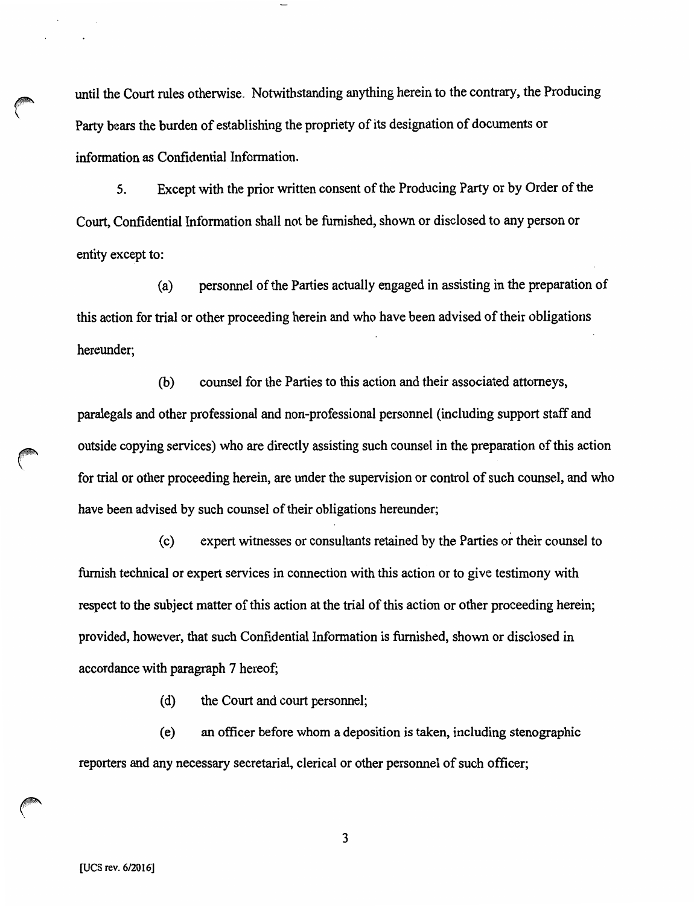until the Court rules otherwise. Notwithstanding anything herein to the contrary, the Producing Party bears the burden of establishing the propriety of its designation of documents or information as Confidential Information.

5. Except with the prior written consent of the Producing Party or by Order of the Court, Confidential Information shall not be furnished, shown or disclosed to any person or entity except to:

(a) personnel of the Parties actually engaged in assisting in the preparation of this action for trial or other proceeding herein and who have been advised of their obligations hereunder;

(b) counsel for the Parties to this action and their associated attorneys, paralegals and other professional and non-professional personnel (including support staff and outside copying services) who are directly assisting such counsel in the preparation of this action for trial or other proceeding herein, are under the supervision or control of such counsel, and who have been advised by such counsel of their obligations hereunder;

( c) expert witnesses or consultants retained by the Parties or their counsel to furnish technical or expert services in connection with this action or to give testimony with respect to the subject matter of this action at the trial of this action or other proceeding herein; provided, however, that such Confidential Information is furnished, shown or disclosed in accordance with paragraph 7 hereof;

(d) the Court and court personnel;

( e) an officer before whom a deposition is taken, including stenographic reporters and any necessary secretarial, clerical or other personnel of such officer;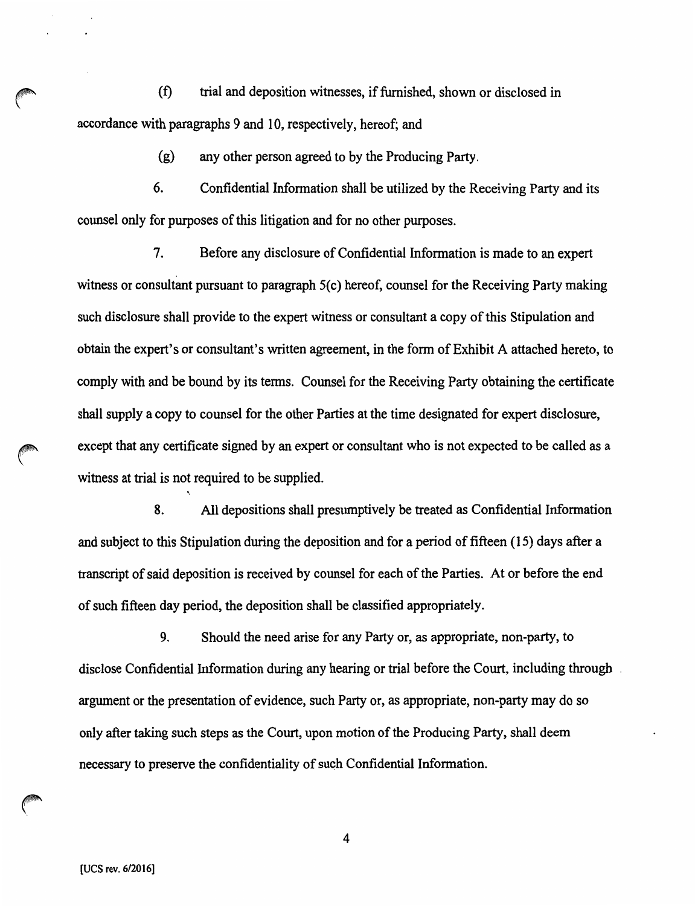~ (f) trial and deposition witnesses, if furnished, shown or disclosed in accordance with paragraphs 9 and 10, respectively, hereof; and

(g) any other person agreed to by the Producing Party.

6. Confidential Information shall be utilized by the Receiving Party and its counsel only for purposes of this litigation and for no other purposes.

7. Before any disclosure of Confidential Information is made to an expert witness or consultant pursuant to paragraph 5(c) hereof, counsel for the Receiving Party making such disclosure shall provide to the expert witness or consultant a copy of this Stipulation and obtain the expert's or consultant's written agreement, in the form of Exhibit A attached hereto, to comply with and be bound by its terms. Counsel for the Receiving Party obtaining the certificate shall supply a copy to counsel for the other Parties at the time designated for expert disclosure, except that any certificate signed by an expert or consultant who is not expected to be called as a witness at trial is not required to be supplied.

8. All depositions shall presumptively be treated as Confidential Information and subject to this Stipulation during the deposition and for a period of fifteen (15) days after a transcript of said deposition is received by counsel for each of the Parties. At or before the end of such fifteen day period, the deposition shall be classified appropriately.

9. Should the need arise for any Party or, as appropriate, non-party, to disclose Confidential Information during any hearing or trial before the Court, including through . argument or the presentation of evidence, such Party or, as appropriate, non-party may do so only after taking such steps as the Court, upon motion of the Producing Party, shall deem necessary to preserve the confidentiality of suqh Confidential Information.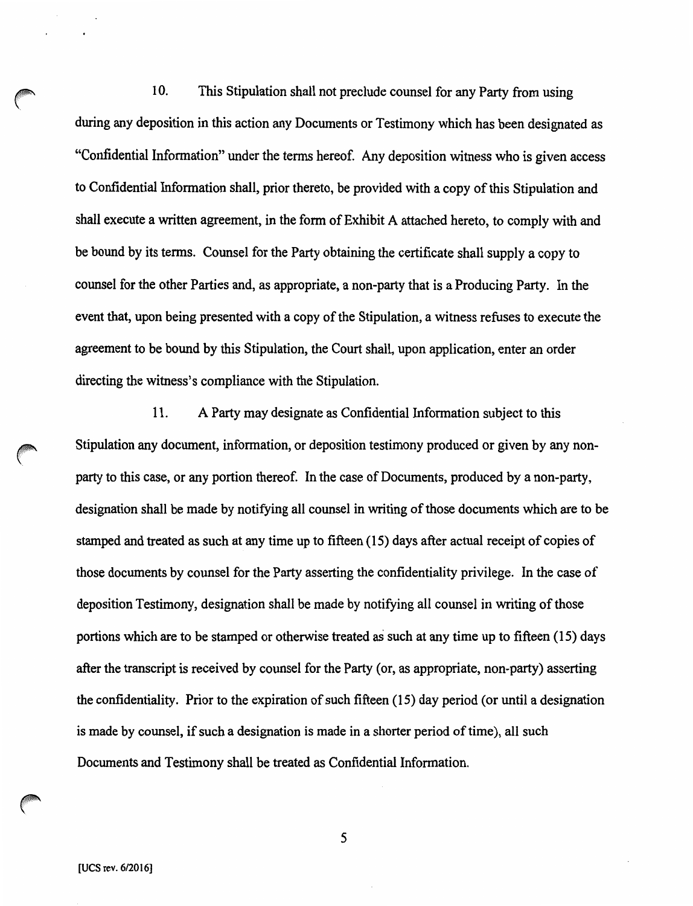10. This Stipulation shall not preclude counsel for any Party from using during any deposition in this action any Documents or Testimony which has been designated as "Confidential Information" under the terms hereof. Any deposition witness who is given access to Confidential Information shall, prior thereto, be provided with a copy of this Stipulation and shall execute a written agreement, in the form of Exhibit A attached hereto, to comply with and be bound by its terms. Counsel for the Party obtaining the certificate shall supply a copy to counsel for the other Parties and, as appropriate, a non-party that is a Producing Party. In the event that, upon being presented with a copy of the Stipulation, a witness refuses to execute the agreement to be bound by this Stipulation, the Court shall, upon application, enter an order directing the witness's compliance with the Stipulation.

11. A Party may designate as Confidential Information subject to this Stipulation any document, information, or deposition testimony produced or given by any nonparty to this case, or any portion thereof. In the case of Documents, produced by a non-party, designation shall be made by notifying all counsel in writing of those documents which are to be stamped and treated as such at any time up to fifteen (15) days after actual receipt of copies of those documents by counsel for the Party asserting the confidentiality privilege. In the case of deposition Testimony, designation shall be made by notifying all counsel in writing of those portions which are to be stamped or otherwise treated as such at any time up to fifteen (15) days after the transcript is received by counsel for the Party (or, as appropriate, non-party) asserting the confidentiality. Prior to the expiration of such fifteen (15) day period (or until a designation is made by counsel, if such a designation is made in a shorter period of time), all such Documents and Testimony shall be treated as Confidential Information.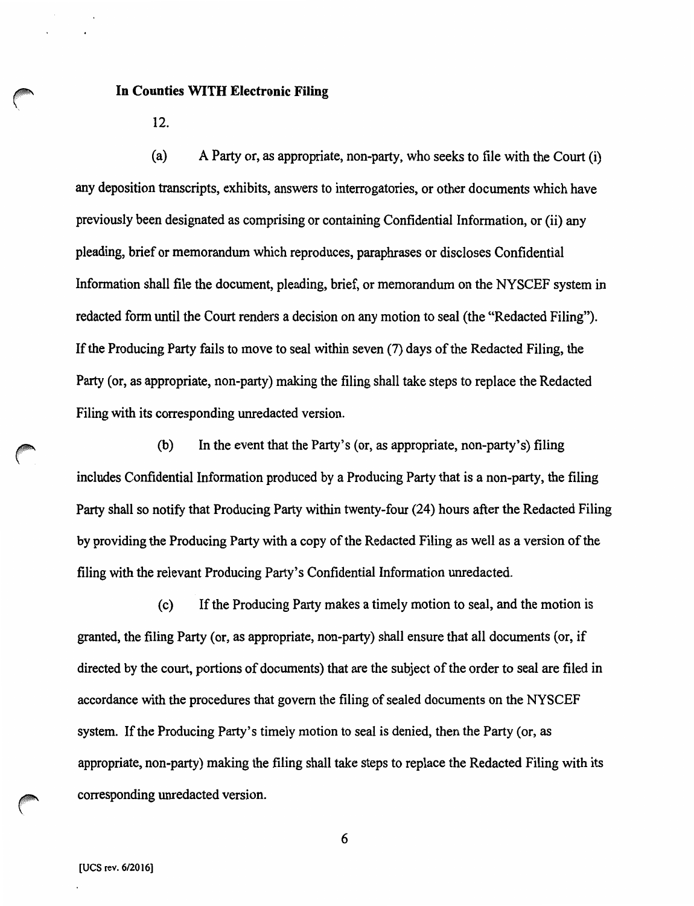### **In Counties WITH Electronic Filing**

12.

(a) A Party or, as appropriate, non-party, who seeks to file with the Court (i) any deposition transcripts, exhibits, answers to interrogatories, or other documents which have previously been designated as comprising or containing Confidential Information, or (ii) any pleading, brief or memorandum which reproduces, paraphrases or discloses Confidential Information shall file the document, pleading, brief, or memorandum on the NYSCEF system in redacted form until the Court renders a decision on any motion to seal (the "Redacted Filing"). If the Producing Party fails to move to seal within seven (7) days of the Redacted Filing, the Party (or, as appropriate, non-party) making the filing shall take steps to replace the Redacted Filing with its corresponding unredacted version.

(b) In the event that the Party's (or, as appropriate, non-party's) filing includes Confidential Information produced by a Producing Party that is a non-party, the filing Party shall so notify that Producing Party within twenty-four (24) hours after the Redacted Filing by providing the Producing Party with a copy of the Redacted Filing as well as a version of the filing with the relevant Producing Party's Confidential Information unredacted.

(c) If the Producing Party makes a timely motion to seal, and the motion is granted, the filing Party (or, as appropriate, non-party) shall ensure that all documents (or, if directed by the court, portions of documents) that are the subject of the order to seal are filed in accordance with the procedures that govern the filing of sealed documents on the NYSCEF system. If the Producing Party's timely motion to seal is denied, then the Party (or, as appropriate, non-party) making the filing shall take steps to replace the Redacted Filing with its corresponding unredacted version.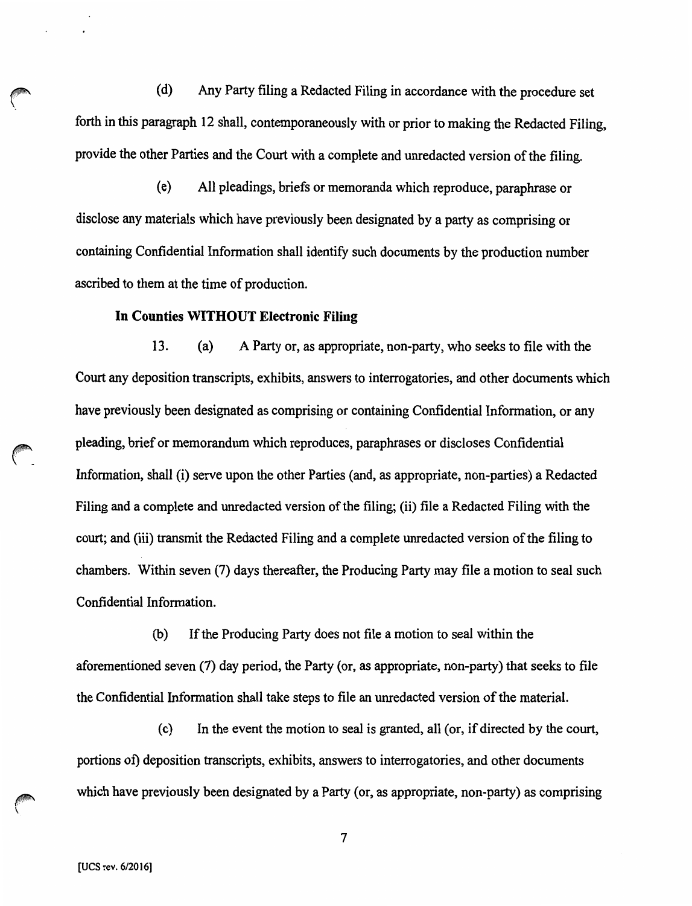(d) Any Party filing a Redacted Filing in accordance with the procedure set forth in this paragraph 12 shall, contemporaneously with or prior to making the Redacted Filing, provide the other Parties and the Court with a complete and unredacted version of the filing.

( e) All pleadings, briefs or memoranda which reproduce, paraphrase or disclose any materials which have previously been designated by a party as comprising or containing Confidential Information shall identify such documents by the production number ascribed to them at the time of production.

### **In Counties WITHOUT Electronic Filing**

13. (a) A Party or, as appropriate, non-party, who seeks to file with the Court any deposition transcripts, exhibits, answers to interrogatories, and other documents which have previously been designated as comprising or containing Confidential Information, or any pleading, brief or memorandum which reproduces, paraphrases or discloses Confidential Information, shall (i) serve upon the other Parties (and, as appropriate, non-parties) a Redacted Filing and a complete and unredacted version of the filing; {ii) file a Redacted Filing with the court; and (iii) transmit the Redacted Filing and a complete unredacted version of the filing to chambers. Within seven (7) days thereafter, the Producing Party may file a motion to seal such Confidential Information.

(b) If the Producing Party does not file a motion to seal within the aforementioned seven (7) day period, the Party (or, as appropriate, non-party) that seeks to file the Confidential Information shall take steps to file an unredacted version of the material.

( c) In the event the motion to seal is granted, all (or, if directed by the court, portions of) deposition transcripts, exhibits, answers to interrogatories, and other documents which have previously been designated by a Party (or, as appropriate, non-party) as comprising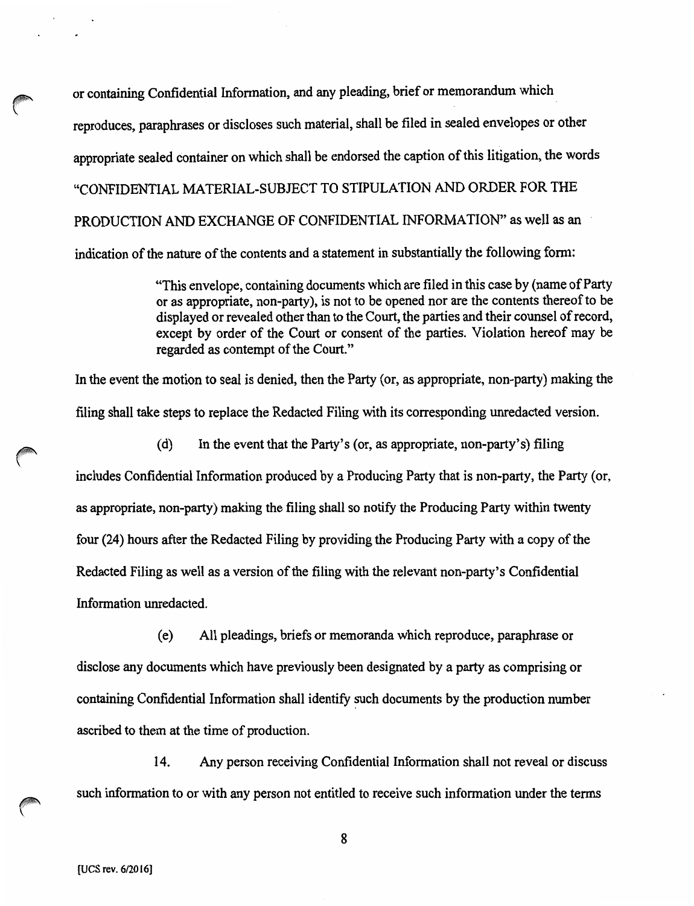or containing Confidential Information, and any pleading, brief or memorandum which reproduces, paraphrases or discloses such material, shall be filed in sealed envelopes or other appropriate sealed container on which shall be endorsed the caption of this litigation, the words "CONFIDENTIAL MATERIAL-SUBJECT TO STIPULATION AND ORDER FOR THE PRODUCTION AND EXCHANGE OF CONFIDENTIAL INFORMATION" as well as an indication of the nature of the contents and a statement in substantially the following form:

> "This envelope, containing documents which are filed in this case by (name of Party or as appropriate, non-party), is not to be opened nor are the contents thereof to be displayed or revealed other than to the Court, the parties and their counsel of record, except by order of the Court or consent of the parties. Violation hereof may be regarded as contempt of the Court."

In the event the motion to seal is denied, then the Party (or, as appropriate, non-party) making the filing shall take steps to replace the Redacted Filing with its corresponding unredacted version.

(d) In the event that the Party's (or, as appropriate, non-party's) filing

includes Confidential Information produced by a Producing Party that is non-party, the Party (or, as appropriate, non-party) making the filing shall so notify the Producing Party within twenty four (24) hours after the Redacted Filing by providing the Producing Party with a copy of the Redacted Filing as well as a version of the filing with the relevant non-party's Confidential Information unredacted.

( e) All pleadings, briefs or memoranda which reproduce, paraphrase or disclose any documents which have previously been designated by a party as comprising or containing Confidential Information shall identify such documents by the production number ascribed to them at the time of production.

14. Any person receiving Confidential Information shall not reveal or discuss such information to or with any person not entitled to receive such information under the terms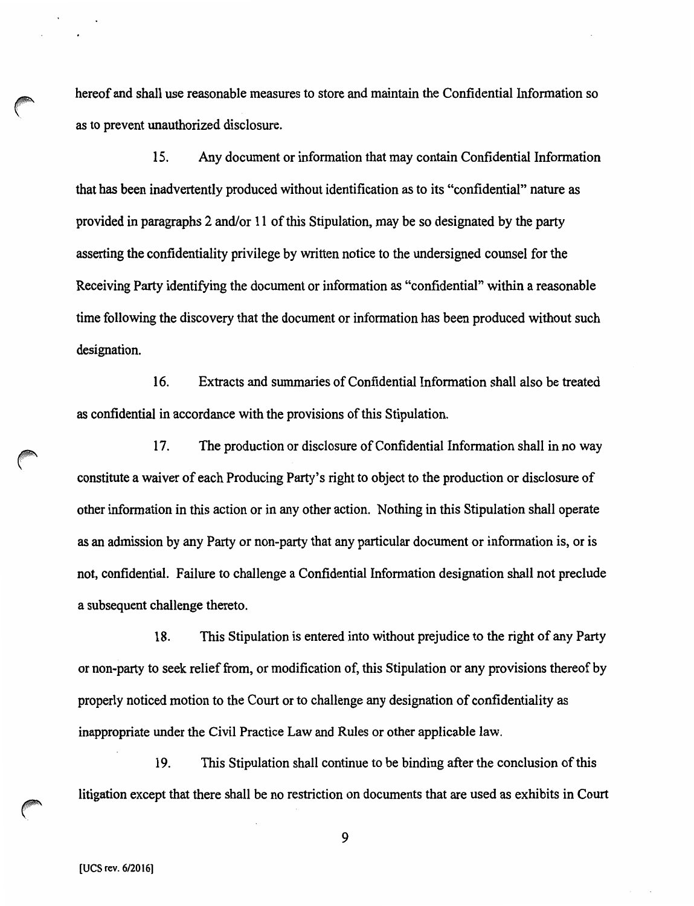hereof and shall use reasonable measures to store and maintain the Confidential Information so as to prevent unauthorized disclosure.

15. Any document or information that may contain Confidential Information that has been inadvertently produced without identification as to its "confidential" nature as provided in paragraphs 2 and/or 11 of this Stipulation, may be so designated by the party asserting the confidentiality privilege by written notice to the undersigned counsel for the Receiving Party identifying the document or information as "confidential'' within a reasonable time following the discovery that the document or information has been produced without such designation.

16. Extracts and summaries of Confidential Information shall also be treated as confidential in accordance with the provisions of this Stipulation.

17. The production or disclosure of Confidential Information shall in no way constitute a waiver of each Producing Party's right to object to the production or disclosure of other information in this action or in any other action. Nothing in this Stipulation shall operate as an admission by any Party or non-party that any particular document or information is, or is not, confidential. Failure to challenge a Confidential Information designation shall not preclude a subsequent challenge thereto.

18. This Stipulation is entered into without prejudice to the right of any Party or non-party to seek relief from, or modification of, this Stipulation or any provisions thereof by properly noticed motion to the Court or to challenge any designation of confidentiality as inappropriate under the Civil Practice Law and Rules or other applicable law.

19. This Stipulation shall continue to be binding after the conclusion of this litigation except that there shall be no restriction on documents that are used as exhibits in Court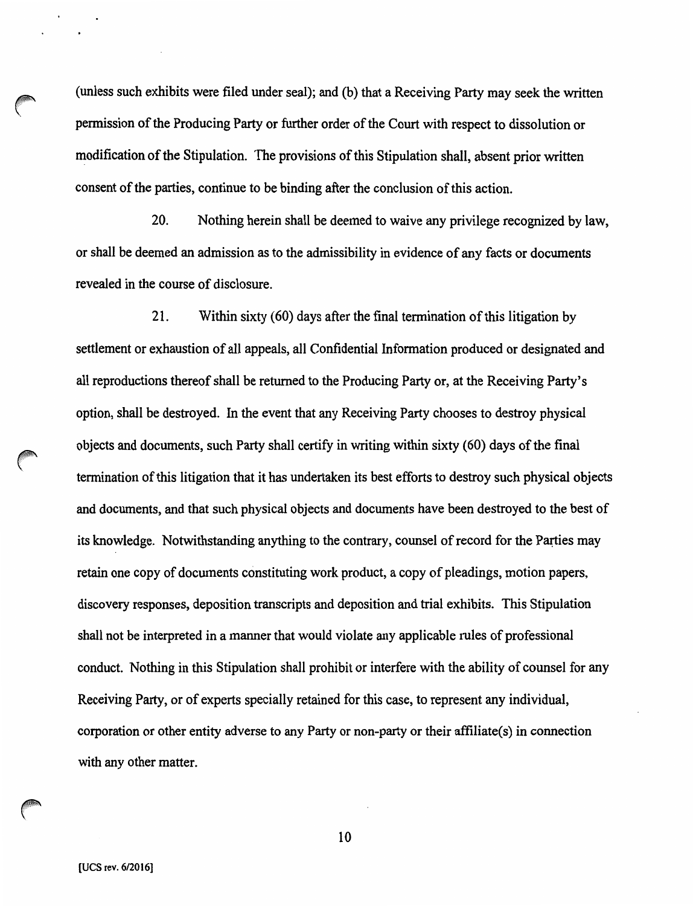(unless such exhibits were filed under seal); and (b) that a Receiving Party may seek the written permission of the Producing Party or further order of the Court with respect to dissolution or modification of the Stipulation. The provisions of this Stipulation shall, absent prior written consent of the parties, continue to be binding after the conclusion of this action.

20. Nothing herein shall be deemed to waive any privilege recognized by law, or shall be deemed an admission as to the admissibility in evidence of any facts or documents revealed in the course of disclosure.

21. Within sixty (60) days after the final termination of this litigation by settlement or exhaustion of all appeals, all Confidential Information produced or designated and all reproductions thereof shall be returned to the Producing Party or, at the Receiving Party's option, shall be destroyed. In the event that any Receiving Party chooses to destroy physical objects and documents, such Party shall certify in writing within sixty (60) days of the final termination of this litigation that it has undertaken its best efforts to destroy such physical objects and documents, and that such physical objects and documents have been destroyed to the best of its knowledge. Notwithstanding anything to the contrary, counsel of record for the Panies may retain one copy of documents constituting work product, a copy of pleadings, motion papers, discovery responses, deposition transcripts and deposition and trial exhibits. This Stipulation shall not be interpreted in a manner that would violate any applicable rules of professional conduct. Nothing in this Stipulation shall prohibit or interfere with the ability of counsel for any Receiving Party, or of experts specially retained for this case, to represent any individual, corporation or other entity adverse to any Party or non-party or their affiliate(s) in connection with any other matter.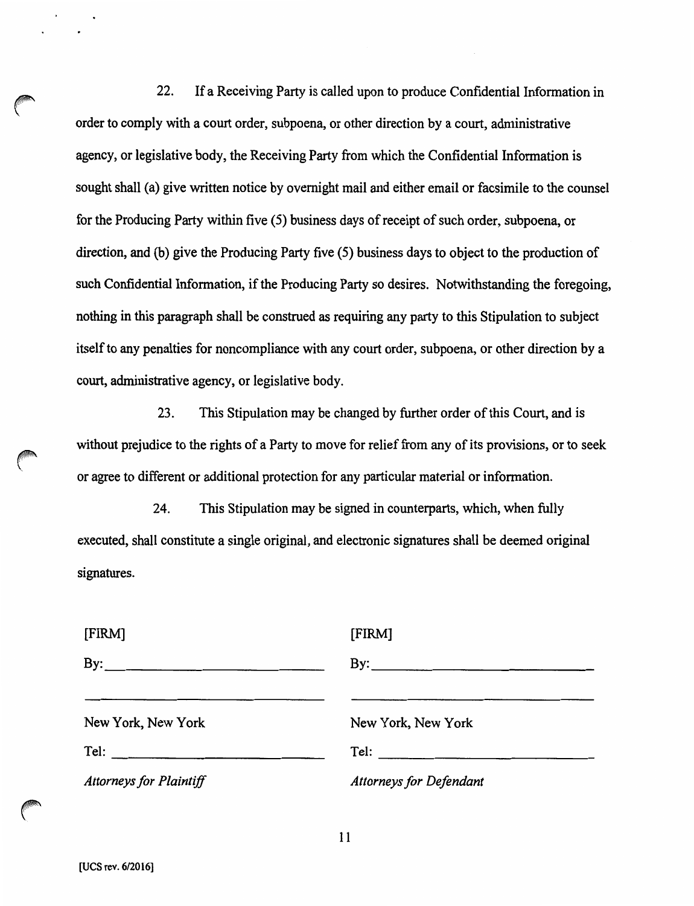22. If a Receiving Party is called upon to produce Confidential Information in order to comply with a court order, subpoena, or other direction by a court, administrative agency, or legislative body, the Receiving Party from which the Confidential Information is sought shall (a) give written notice by overnight mail and either email or facsimile to the counsel for the Producing Party within five (5) business days of receipt of such order, subpoena, or direction, and (b) give the Producing Party five (5) business days to object to the production of such Confidential Information, if the Producing Party so desires. Notwithstanding the foregoing, nothing in this paragraph shall be construed as requiring any party to this Stipulation to subject itself to any penalties for noncompliance with any court order, subpoena, or other direction by a court, administrative agency, or legislative body.

23. This Stipulation may be changed by further order of this Court, and is without prejudice to the rights of a Party to move for relief from any of its provisions, or to seek or agree to different or additional protection for any particular material or information.

24. This Stipulation may be signed in counterparts, which, when fully executed, shall constitute a single original, and electronic signatures shall be deemed original signatures.

| [FIRM]                         | [FIRM]                                                                |
|--------------------------------|-----------------------------------------------------------------------|
| By:                            | $\mathbf{B}$ y:                                                       |
|                                |                                                                       |
| New York, New York             | New York, New York                                                    |
|                                | $\begin{tabular}{c} \multicolumn{2}{c }{\textbf{Tel:}} \end{tabular}$ |
| <b>Attorneys for Plaintiff</b> | <b>Attorneys for Defendant</b>                                        |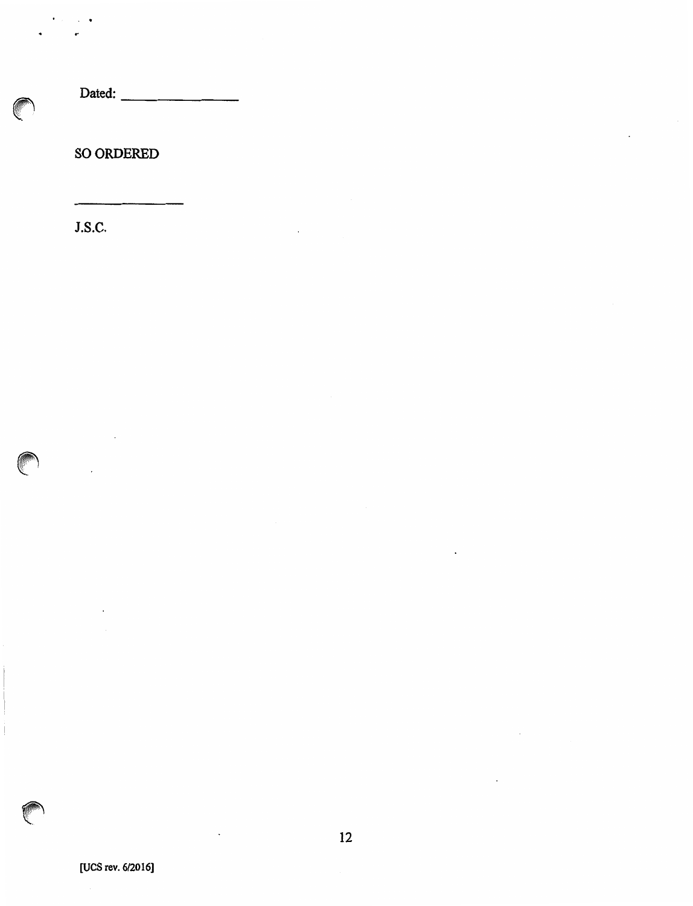Dated: ------

SO ORDERED

J.S.C.

 $\ddot{\phantom{0}}$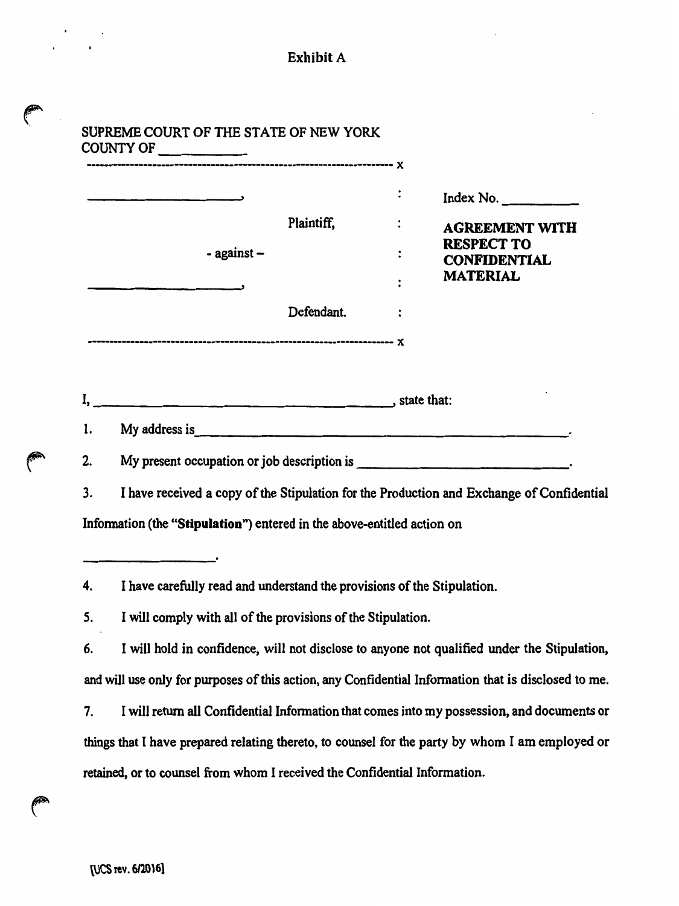|    | ______________                                                                              | Plaintiff,<br>Defendant. | Index No. $\frac{1}{2}$                                                                              |  |  |  |
|----|---------------------------------------------------------------------------------------------|--------------------------|------------------------------------------------------------------------------------------------------|--|--|--|
|    | - against -                                                                                 |                          | <b>AGREEMENT WITH</b><br><b>RESPECT TO</b>                                                           |  |  |  |
|    |                                                                                             |                          | <b>CONFIDENTIAL</b><br><b>MATERIAL</b>                                                               |  |  |  |
|    |                                                                                             |                          |                                                                                                      |  |  |  |
|    |                                                                                             |                          |                                                                                                      |  |  |  |
|    |                                                                                             |                          |                                                                                                      |  |  |  |
|    |                                                                                             |                          |                                                                                                      |  |  |  |
| 1. |                                                                                             |                          |                                                                                                      |  |  |  |
| 2. |                                                                                             |                          |                                                                                                      |  |  |  |
| 3. |                                                                                             |                          | I have received a copy of the Stipulation for the Production and Exchange of Confidential            |  |  |  |
|    | Information (the "Stipulation") entered in the above-entitled action on                     |                          |                                                                                                      |  |  |  |
|    |                                                                                             |                          |                                                                                                      |  |  |  |
| 4. | I have carefully read and understand the provisions of the Stipulation.                     |                          |                                                                                                      |  |  |  |
| 5. | I will comply with all of the provisions of the Stipulation.                                |                          |                                                                                                      |  |  |  |
| 6. | I will hold in confidence, will not disclose to anyone not qualified under the Stipulation, |                          |                                                                                                      |  |  |  |
|    |                                                                                             |                          | and will use only for purposes of this action, any Confidential Information that is disclosed to me. |  |  |  |
| 7. |                                                                                             |                          | I will return all Confidential Information that comes into my possession, and documents or           |  |  |  |
|    |                                                                                             |                          | things that I have prepared relating thereto, to counsel for the party by whom I am employed or      |  |  |  |
|    | retained, or to counsel from whom I received the Confidential Information.                  |                          |                                                                                                      |  |  |  |

Exhibit A

P

 $\sim$ 

 $\ddot{\phantom{a}}$ 

CONTROL